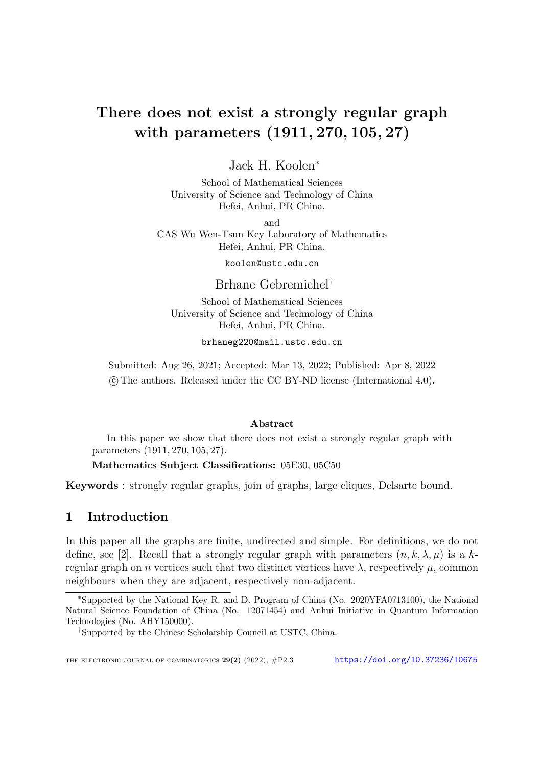# There does not exist a strongly regular graph with parameters (1911*,* 270*,* 105*,* 27)

Jack H. Koolen<sup>∗</sup>

School of Mathematical Sciences University of Science and Technology of China Hefei, Anhui, PR China.

and

CAS Wu Wen-Tsun Key Laboratory of Mathematics Hefei, Anhui, PR China.

koolen@ustc.edu.cn

Brhane Gebremichel *†*

School of Mathematical Sciences University of Science and Technology of China Hefei, Anhui, PR China.

brhaneg220@mail.ustc.edu.cn

Submitted: Aug 26, 2021; Accepted: Mar 13, 2022; Published: Apr 8, 2022 ©c The authors. Released under the CC BY-ND license (International 4.0).

### Abstract

In this paper we show that there does not exist a strongly regular graph with parameters (1911*,* 270*,* 105*,* 27).

Mathematics Subject Classifications: 05E30, 05C50

Keywords : strongly regular graphs, join of graphs, large cliques, Delsarte bound.

# 1 Introduction

In this paper all the graphs are finite, undirected and simple. For definitions, we do not define, see [[2\]](#page-12-0). Recall that a *strongly regular graph with parameters*  $(n, k, \lambda, \mu)$  is a kregular graph on *n* vertices such that two distinct vertices have  $\lambda$ , respectively  $\mu$ , common neighbours when they are adjacent, respectively non-adjacent.

<sup>∗</sup>Supported by the National Key R. and D. Program of China (No. 2020YFA0713100), the National Natural Science Foundation of China (No. 12071454) and Anhui Initiative in Quantum Information Technologies (No. AHY150000).

*<sup>†</sup>*Supported by the Chinese Scholarship Council at USTC, China.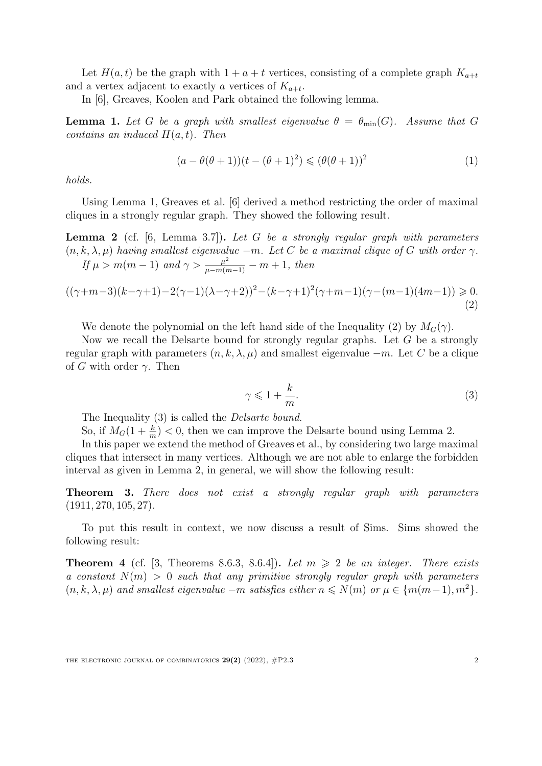Let  $H(a,t)$  be the graph with  $1 + a + t$  vertices, consisting of a complete graph  $K_{a+t}$ and a vertex adjacent to exactly *a* vertices of  $K_{a+t}$ .

In [\[6](#page-12-1)], Greaves, Koolen and Park obtained the following lemma.

<span id="page-1-0"></span>**Lemma 1.** Let G be a graph with smallest eigenvalue  $\theta = \theta_{\min}(G)$ . Assume that G *contains an induced*  $H(a,t)$ *. Then* 

$$
(a - \theta(\theta + 1))(t - (\theta + 1)^2) \le (\theta(\theta + 1))^2
$$
\n(1)

*holds.*

Using Lemma [1](#page-1-0), Greaves et al. [[6\]](#page-12-1) derived a method restricting the order of maximal cliques in a strongly regular graph. They showed the following result.

<span id="page-1-3"></span>Lemma 2 (cf. [\[6](#page-12-1), Lemma 3.7]). *Let G be a strongly regular graph with parameters*  $(n, k, \lambda, \mu)$  having smallest eigenvalue  $-m$ . Let C be a maximal clique of G with order  $\gamma$ . *If*  $\mu > m(m-1)$  *and*  $\gamma > \frac{\mu^2}{\mu - m(m-1)} - m + 1$ *, then* 

<span id="page-1-1"></span>
$$
((\gamma+m-3)(k-\gamma+1)-2(\gamma-1)(\lambda-\gamma+2))^2-(k-\gamma+1)^2(\gamma+m-1)(\gamma-(m-1)(4m-1)) \ge 0.
$$
\n(2)

We denote the polynomial on the left hand side of the Inequality [\(2\)](#page-1-1) by  $M_G(\gamma)$ .

Now we recall the Delsarte bound for strongly regular graphs. Let *G* be a strongly regular graph with parameters  $(n, k, \lambda, \mu)$  and smallest eigenvalue  $-m$ . Let C be a clique of *G* with order  $\gamma$ . Then

<span id="page-1-2"></span>
$$
\gamma \leqslant 1 + \frac{k}{m}.\tag{3}
$$

The Inequality [\(3](#page-1-2)) is called the *Delsarte bound*.

So, if  $M_G(1 + \frac{k}{m}) < 0$ , then we can improve the Delsarte bound using Lemma [2.](#page-1-3)

In this paper we extend the method of Greaves et al., by considering two large maximal cliques that intersect in many vertices. Although we are not able to enlarge the forbidden interval as given in Lemma [2,](#page-1-3) in general, we will show the following result:

<span id="page-1-5"></span>Theorem 3. *There does not exist a strongly regular graph with parameters* (1911*,* 270*,* 105*,* 27)*.*

To put this result in context, we now discuss a result of Sims. Sims showed the following result:

<span id="page-1-4"></span>**Theorem 4** (cf. [[3](#page-12-2), Theorems 8.6.3, 8.6.4]). Let  $m \geq 2$  be an integer. There exists *a constant N*(*m*) *>* 0 *such that any primitive strongly regular graph with parameters*  $(n, k, \lambda, \mu)$  and smallest eigenvalue  $-m$  satisfies either  $n \leq N(m)$  or  $\mu \in \{m(m-1), m^2\}$ .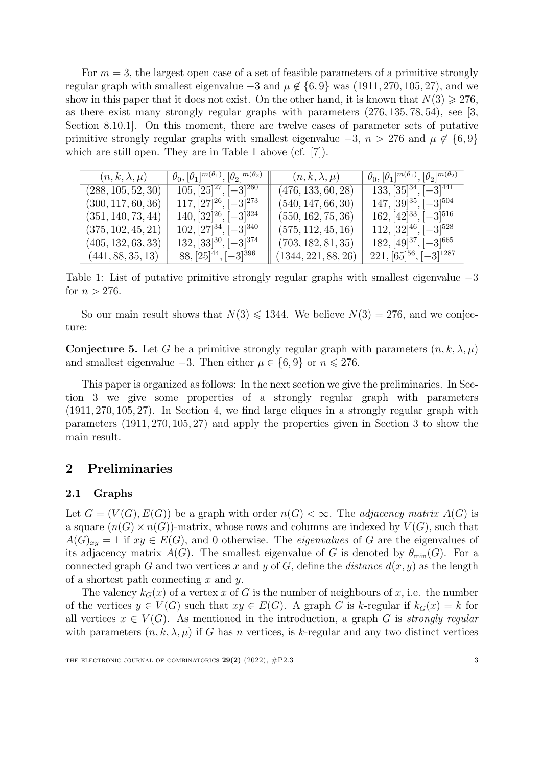For *m* = 3, the largest open case of a set of feasible parameters of a primitive strongly regular graph with smallest eigenvalue  $-3$  and  $\mu \notin \{6, 9\}$  was (1911, 270, 105, 27), and we show in this paper that it does not exist. On the other hand, it is known that  $N(3) \geq 276$ , as there exist many strongly regular graphs with parameters (276*,* 135*,* 78*,* 54), see [\[3](#page-12-2), Section 8.10.1]. On this moment, there are twelve cases of parameter sets of putative primitive strongly regular graphs with smallest eigenvalue  $-3$ ,  $n > 276$  and  $\mu \notin \{6, 9\}$ which are still open. They are in Table [1](#page-1-4) above (cf. [\[7](#page-12-3)]).

| $(n,k,\lambda,\mu)$ | $\theta_0, [\theta_1]^{m(\theta_1)}, [\theta_2]^{m(\theta_2)}$ | $(n, k, \lambda, \mu)$ | $\theta_0, [\theta_1]^{m(\theta_1)}, [\theta_2]^{m(\theta_2)}$ |
|---------------------|----------------------------------------------------------------|------------------------|----------------------------------------------------------------|
| (288, 105, 52, 30)  | $105, [25]^{27}, [-3]^{260}$                                   | (476, 133, 60, 28)     | $133, [35]^{34}, [-3]^{441}$                                   |
| (300, 117, 60, 36)  | $117, [27]^{26}, [-3]^{273}$                                   | (540, 147, 66, 30)     | $147, [39]^{35}, [-3]^{504}$                                   |
| (351, 140, 73, 44)  | $140, [32]^{26}, [-3]^{324}$                                   | (550, 162, 75, 36)     | $162, [42]^{33}, [-3]^{516}$                                   |
| (375, 102, 45, 21)  | $102, [27]^{34}, [-3]^{340}$                                   | (575, 112, 45, 16)     | $112, [32]^{46}, [-3]^{528}$                                   |
| (405, 132, 63, 33)  | $132, [33]^{30}, [-3]^{374}$                                   | (703, 182, 81, 35)     | $182, [49]^{37}, [-3]^{665}$                                   |
| (441, 88, 35, 13)   | $88, [25]^{44}, [-3]^{396}$                                    | (1344, 221, 88, 26)    | $221, [65]^{56}, [-3]^{1287}$                                  |

Table 1: List of putative primitive strongly regular graphs with smallest eigenvalue −3 for  $n > 276$ .

So our main result shows that  $N(3) \le 1344$ . We believe  $N(3) = 276$ , and we conjecture:

**Conjecture 5.** Let G be a primitive strongly regular graph with parameters  $(n, k, \lambda, \mu)$ and smallest eigenvalue  $-3$ . Then either  $\mu \in \{6, 9\}$  or  $n \leq 276$ .

This paper is organized as follows: In the next section we give the preliminaries. In Section [3](#page-4-0) we give some properties of a strongly regular graph with parameters (1911*,* 270*,* 105*,* 27). In Section [4](#page-7-0), we find large cliques in a strongly regular graph with parameters (1911*,* 270*,* 105*,* 27) and apply the properties given in Section [3](#page-4-0) to show the main result.

# 2 Preliminaries

### 2.1 Graphs

Let  $G = (V(G), E(G))$  be a graph with order  $n(G) < \infty$ . The *adjacency matrix*  $A(G)$  is a square  $(n(G) \times n(G))$ -matrix, whose rows and columns are indexed by  $V(G)$ , such that  $A(G)_{xy} = 1$  if  $xy \in E(G)$ , and 0 otherwise. The *eigenvalues* of *G* are the eigenvalues of its adjacency matrix  $A(G)$ . The smallest eigenvalue of *G* is denoted by  $\theta_{\min}(G)$ . For a connected graph *G* and two vertices *x* and *y* of *G*, define the *distance*  $d(x, y)$  as the length of a shortest path connecting *x* and *y*.

The valency  $k_G(x)$  of a vertex *x* of *G* is the number of neighbours of *x*, i.e. the number of the vertices  $y \in V(G)$  such that  $xy \in E(G)$ . A graph *G* is *k*-regular if  $k_G(x) = k$  for all vertices  $x \in V(G)$ . As mentioned in the introduction, a graph G is *strongly regular* with parameters  $(n, k, \lambda, \mu)$  if G has *n* vertices, is *k*-regular and any two distinct vertices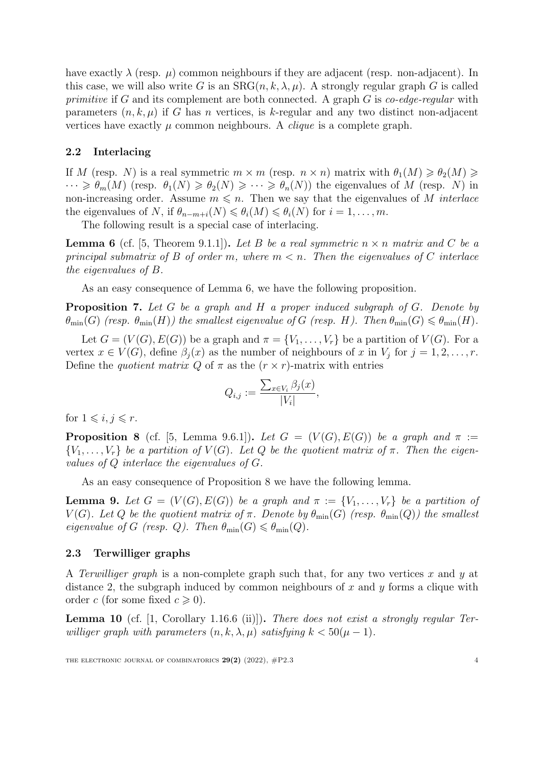have exactly  $\lambda$  (resp.  $\mu$ ) common neighbours if they are adjacent (resp. non-adjacent). In this case, we will also write *G* is an  $SRG(n, k, \lambda, \mu)$ . A strongly regular graph *G* is called *primitive* if *G* and its complement are both connected. A graph *G* is *co-edge-regular* with parameters  $(n, k, \mu)$  if *G* has *n* vertices, is *k*-regular and any two distinct non-adjacent vertices have exactly  $\mu$  common neighbours. A *clique* is a complete graph.

## 2.2 Interlacing

If *M* (resp. *N*) is a real symmetric  $m \times m$  (resp.  $n \times n$ ) matrix with  $\theta_1(M) \geq \theta_2(M) \geq$  $\cdots \geq \theta_m(M)$  (resp.  $\theta_1(N) \geq \theta_2(N) \geq \cdots \geq \theta_n(N)$ ) the eigenvalues of M (resp. N) in non-increasing order. Assume  $m \leq n$ . Then we say that the eigenvalues of *M interlace* the eigenvalues of *N*, if  $\theta_{n-m+i}(N) \leq \theta_i(M) \leq \theta_i(N)$  for  $i = 1, \ldots, m$ .

The following result is a special case of interlacing.

<span id="page-3-0"></span>**Lemma 6** (cf. [\[5](#page-12-4), Theorem 9.1.1]). Let *B* be a real symmetric  $n \times n$  matrix and *C* be a *principal submatrix* of *B* of order *m*, where  $m < n$ . Then the eigenvalues of *C* interlace *the eigenvalues of B.*

As an easy consequence of Lemma [6,](#page-3-0) we have the following proposition.

<span id="page-3-3"></span>Proposition 7. *Let G be a graph and H a proper induced subgraph of G. Denote by*  $\theta_{\min}(G)$  *(resp.*  $\theta_{\min}(H)$ *)* the smallest eigenvalue of G (resp. H). Then  $\theta_{\min}(G) \leq \theta_{\min}(H)$ .

Let  $G = (V(G), E(G))$  be a graph and  $\pi = \{V_1, \ldots, V_r\}$  be a partition of  $V(G)$ . For a vertex  $x \in V(G)$ , define  $\beta_i(x)$  as the number of neighbours of x in  $V_i$  for  $j = 1, 2, \ldots, r$ . Define the *quotient* matrix  $Q$  of  $\pi$  as the  $(r \times r)$ -matrix with entries

$$
Q_{i,j} := \frac{\sum_{x \in V_i} \beta_j(x)}{|V_i|},
$$

for  $1 \leq i, j \leq r$ .

<span id="page-3-1"></span>**Proposition 8** (cf. [\[5](#page-12-4), Lemma 9.6.1]). *Let*  $G = (V(G), E(G))$  *be a graph and*  $\pi :=$  ${V_1, \ldots, V_r}$  be a partition of  $V(G)$ . Let Q be the quotient matrix of  $\pi$ . Then the eigen*values of Q interlace the eigenvalues of G.*

As an easy consequence of Proposition [8](#page-3-1) we have the following lemma.

<span id="page-3-4"></span>**Lemma 9.** Let  $G = (V(G), E(G))$  be a graph and  $\pi := \{V_1, \ldots, V_r\}$  be a partition of *V*(*G*). Let *Q* be the quotient matrix of  $\pi$ . Denote by  $\theta_{\min}(G)$  (resp.  $\theta_{\min}(Q)$ ) the smallest *eigenvalue* of *G* (resp. *Q*). Then  $\theta_{\min}(G) \leq \theta_{\min}(Q)$ .

### 2.3 Terwilliger graphs

A *Terwilliger graph* is a non-complete graph such that, for any two vertices *x* and *y* at distance 2, the subgraph induced by common neighbours of *x* and *y* forms a clique with order *c* (for some fixed  $c \ge 0$ ).

<span id="page-3-2"></span>Lemma 10 (cf. [\[1](#page-12-5), Corollary 1.16.6 (ii)]). *There does not exist a strongly regular Terwilliger graph with parameters*  $(n, k, \lambda, \mu)$  *satisfying*  $k < 50(\mu - 1)$ *.* 

THE ELECTRONIC JOURNAL OF COMBINATORICS  $29(2)$  (2022),  $\#P2.3$  4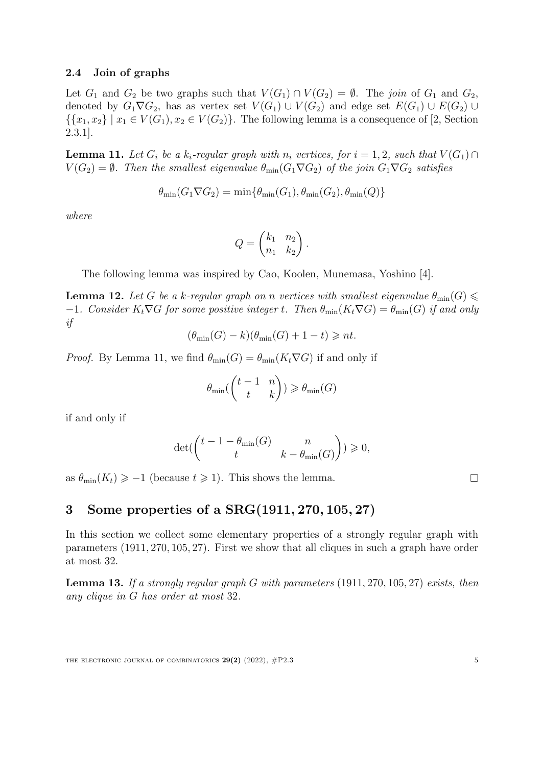#### 2.4 Join of graphs

Let  $G_1$  and  $G_2$  be two graphs such that  $V(G_1) \cap V(G_2) = \emptyset$ . The *join* of  $G_1$  and  $G_2$ , denoted by  $G_1 \nabla G_2$ , has as vertex set  $V(G_1) \cup V(G_2)$  and edge set  $E(G_1) \cup E(G_2) \cup$  $\{\{x_1, x_2\} \mid x_1 \in V(G_1), x_2 \in V(G_2)\}.$  The following lemma is a consequence of [[2,](#page-12-0) Section 2.3.1].

<span id="page-4-1"></span>**Lemma 11.** Let  $G_i$  be a  $k_i$ -regular graph with  $n_i$  vertices, for  $i = 1, 2$ , such that  $V(G_1) \cap$  $V(G_2) = \emptyset$ *. Then the smallest eigenvalue*  $\theta_{\min}(G_1 \nabla G_2)$  *of the join*  $G_1 \nabla G_2$  *satisfies* 

$$
\theta_{\min}(G_1 \nabla G_2) = \min\{\theta_{\min}(G_1), \theta_{\min}(G_2), \theta_{\min}(Q)\}\
$$

*where*

$$
Q = \begin{pmatrix} k_1 & n_2 \\ n_1 & k_2 \end{pmatrix}.
$$

The following lemma was inspired by Cao, Koolen, Munemasa, Yoshino [\[4\]](#page-12-6).

<span id="page-4-3"></span>**Lemma 12.** Let *G* be a *k*-regular graph on *n* vertices with smallest eigenvalue  $\theta_{\min}(G) \leq$  $-1$ *. Consider*  $K_t \nabla G$  *for some positive integer t. Then*  $\theta_{\min}(K_t \nabla G) = \theta_{\min}(G)$  *if and only if*

$$
(\theta_{\min}(G) - k)(\theta_{\min}(G) + 1 - t) \geq n t.
$$

*Proof.* By Lemma [11,](#page-4-1) we find  $\theta_{\min}(G) = \theta_{\min}(K_t \nabla G)$  if and only if

$$
\theta_{\min}\begin{pmatrix} t-1 & n \\ t & k \end{pmatrix} \ge \theta_{\min}(G)
$$

if and only if

$$
\det(\begin{pmatrix} t-1-\theta_{\min}(G) & n \\ t & k-\theta_{\min}(G) \end{pmatrix}) \geqslant 0,
$$

as  $\theta_{\min}(K_t) \geq -1$  (because  $t \geq 1$ ). This shows the lemma.

# <span id="page-4-0"></span>3 Some properties of a SRG(1911*,* 270*,* 105*,* 27)

In this section we collect some elementary properties of a strongly regular graph with parameters (1911*,* 270*,* 105*,* 27). First we show that all cliques in such a graph have order at most 32.

<span id="page-4-2"></span>Lemma 13. *If a strongly regular graph G with parameters* (1911*,* 270*,* 105*,* 27) *exists, then any clique in G has order at most* 32*.*

 $\Box$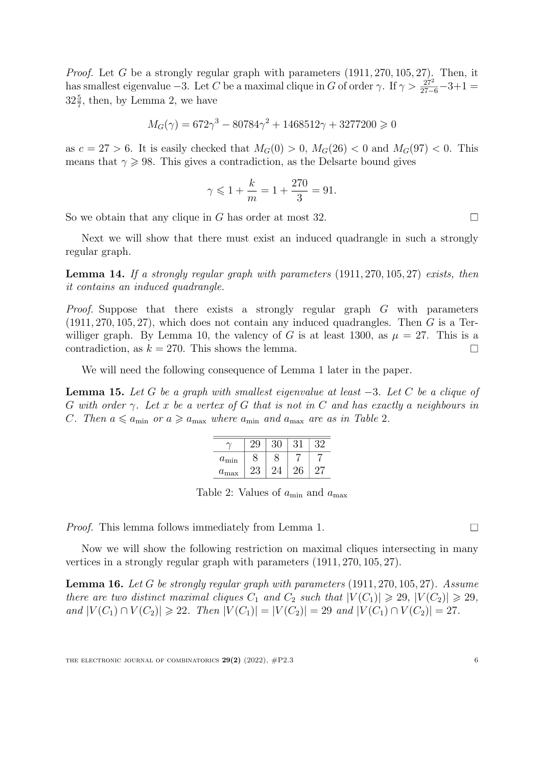*Proof.* Let *G* be a strongly regular graph with parameters (1911*,* 270*,* 105*,* 27). Then, it has smallest eigenvalue  $-3$ . Let *C* be a maximal clique in *G* of order  $\gamma$ . If  $\gamma > \frac{27^2}{27-6} - 3 + 1 =$  $32\frac{5}{7}$  $32\frac{5}{7}$  $32\frac{5}{7}$ , then, by Lemma 2, we have

$$
M_G(\gamma) = 672\gamma^3 - 80784\gamma^2 + 1468512\gamma + 3277200 \ge 0
$$

as  $c = 27 > 6$ . It is easily checked that  $M_G(0) > 0$ ,  $M_G(26) < 0$  and  $M_G(97) < 0$ . This means that  $\gamma \geq 98$ . This gives a contradiction, as the Delsarte bound gives

$$
\gamma \leq 1 + \frac{k}{m} = 1 + \frac{270}{3} = 91.
$$

So we obtain that any clique in *G* has order at most 32.

Next we will show that there must exist an induced quadrangle in such a strongly regular graph.

<span id="page-5-1"></span>Lemma 14. *If a strongly regular graph with parameters* (1911*,* 270*,* 105*,* 27) *exists, then it contains an induced quadrangle.*

*Proof.* Suppose that there exists a strongly regular graph *G* with parameters (1911*,* 270*,* 105*,* 27), which does not contain any induced quadrangles. Then *G* is a Ter-williger graph. By Lemma [10,](#page-3-2) the valency of *G* is at least 1300, as  $\mu = 27$ . This is a contradiction, as  $k = 270$ . This shows the lemma.  $\Box$ 

We will need the following consequence of Lemma [1](#page-1-0) later in the paper.

<span id="page-5-2"></span>Lemma 15. *Let G be a graph with smallest eigenvalue at least* −3*. Let C be a clique of* G with order  $\gamma$ . Let x be a vertex of G that is not in C and has exactly a neighbours in *C. Then*  $a \leq a_{\min}$  *or*  $a \geq a_{\max}$  *where*  $a_{\min}$  *and*  $a_{\max}$  *are as in Table* [2](#page-5-0)*.* 

| $a_{\min}$    |    |    |  |
|---------------|----|----|--|
| $a_{\rm max}$ | 23 | 26 |  |

<span id="page-5-0"></span>Table 2: Values of *a*min and *a*max

*Proof.* This lemma follows immediately from Lemma [1](#page-1-0).

Now we will show the following restriction on maximal cliques intersecting in many vertices in a strongly regular graph with parameters (1911*,* 270*,* 105*,* 27).

<span id="page-5-3"></span>Lemma 16. *Let G be strongly regular graph with parameters* (1911*,* 270*,* 105*,* 27)*. Assume* there are two distinct maximal cliques  $C_1$  and  $C_2$  such that  $|V(C_1)| \geq 29$ ,  $|V(C_2)| \geq 29$ , and  $|V(C_1) \cap V(C_2)| \ge 22$ . Then  $|V(C_1)| = |V(C_2)| = 29$  and  $|V(C_1) \cap V(C_2)| = 27$ .

 $\Box$ 

 $\Box$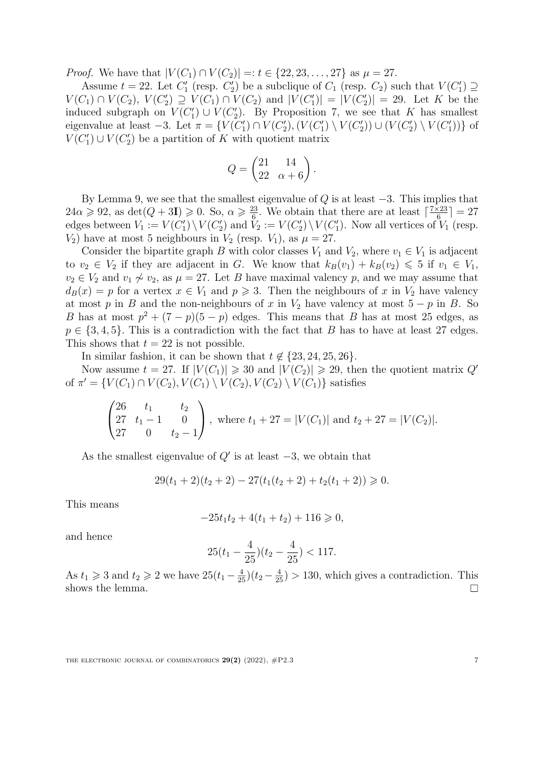*Proof.* We have that  $|V(C_1) \cap V(C_2)| =: t \in \{22, 23, \ldots, 27\}$  as  $\mu = 27$ .

Assume  $t = 22$ . Let  $C'_1$  (resp.  $C'_2$ ) be a subclique of  $C_1$  (resp.  $C_2$ ) such that  $V(C'_1) \supseteq$ *V*(*C*<sub>1</sub>) ∩ *V*(*C*<sub>2</sub>), *V*(*C*<sub>2</sub>) ⊇ *V*(*C*<sub>1</sub>) ∩ *V*(*C*<sub>2</sub>) and  $|V(C'_1)| = |V(C'_2)| = 29$ . Let *K* be the induced subgraph on  $V(C'_1) \cup V(C'_2)$ . By Proposition [7](#page-3-3), we see that *K* has smallest eigenvalue at least  $-3$ . Let  $\pi = \{V(C'_1) \cap V(C'_2), (V(C'_1) \setminus V(C'_2)) \cup (V(C'_2) \setminus V(C'_1))\}$  of  $V(C'_1) \cup V(C'_2)$  be a partition of *K* with quotient matrix

$$
Q = \begin{pmatrix} 21 & 14 \\ 22 & \alpha + 6 \end{pmatrix}.
$$

By Lemma [9](#page-3-4), we see that the smallest eigenvalue of *Q* is at least −3. This implies that  $24\alpha \geqslant 92$ , as  $\det(Q + 3I) \geqslant 0$ . So,  $\alpha \geqslant \frac{23}{6}$ . We obtain that there are at least  $\lceil \frac{7 \times 23}{6} \rceil = 27$ edges between  $V_1 := V(C'_1) \setminus V(C'_2)$  and  $V_2 := V(C'_2) \setminus V(C'_1)$ . Now all vertices of  $V_1$  (resp.  $V_2$ ) have at most 5 neighbours in  $V_2$  (resp.  $V_1$ ), as  $\mu = 27$ .

Consider the bipartite graph *B* with color classes  $V_1$  and  $V_2$ , where  $v_1 \in V_1$  is adjacent to  $v_2 \in V_2$  if they are adjacent in *G*. We know that  $k_B(v_1) + k_B(v_2) \leq 5$  if  $v_1 \in V_1$ , *v*<sub>2</sub> ∈ *V*<sub>2</sub> and *v*<sub>1</sub>  $\varphi$  *v*<sub>2</sub>, as  $\mu$  = 27. Let *B* have maximal valency *p*, and we may assume that  $d_B(x) = p$  for a vertex  $x \in V_1$  and  $p \ge 3$ . Then the neighbours of *x* in  $V_2$  have valency at most *p* in *B* and the non-neighbours of *x* in  $V_2$  have valency at most  $5 - p$  in *B*. So *B* has at most  $p^2 + (7 - p)(5 - p)$  edges. This means that *B* has at most 25 edges, as  $p \in \{3, 4, 5\}$ . This is a contradiction with the fact that *B* has to have at least 27 edges. This shows that  $t = 22$  is not possible.

In similar fashion, it can be shown that  $t \notin \{23, 24, 25, 26\}$ .

Now assume  $t = 27$ . If  $|V(C_1)| \ge 30$  and  $|V(C_2)| \ge 29$ , then the quotient matrix  $Q'$ of  $\pi' = \{V(C_1) \cap V(C_2), V(C_1) \setminus V(C_2), V(C_2) \setminus V(C_1)\}$  satisfies

$$
\begin{pmatrix} 26 & t_1 & t_2 \ 27 & t_1 - 1 & 0 \ 27 & 0 & t_2 - 1 \end{pmatrix}
$$
, where  $t_1 + 27 = |V(C_1)|$  and  $t_2 + 27 = |V(C_2)|$ .

As the smallest eigenvalue of *Q*′ is at least −3, we obtain that

$$
29(t_1+2)(t_2+2) - 27(t_1(t_2+2) + t_2(t_1+2)) \ge 0.
$$

This means

$$
-25t_1t_2 + 4(t_1 + t_2) + 116 \geqslant 0,
$$

and hence

$$
25(t_1 - \frac{4}{25})(t_2 - \frac{4}{25}) < 117.
$$

As  $t_1 \geq 3$  and  $t_2 \geq 2$  we have  $25(t_1 - \frac{4}{25})(t_2 - \frac{4}{25}) > 130$ , which gives a contradiction. This shows the lemma.

THE ELECTRONIC JOURNAL OF COMBINATORICS  $29(2)$  (2022),  $\#P2.3$  7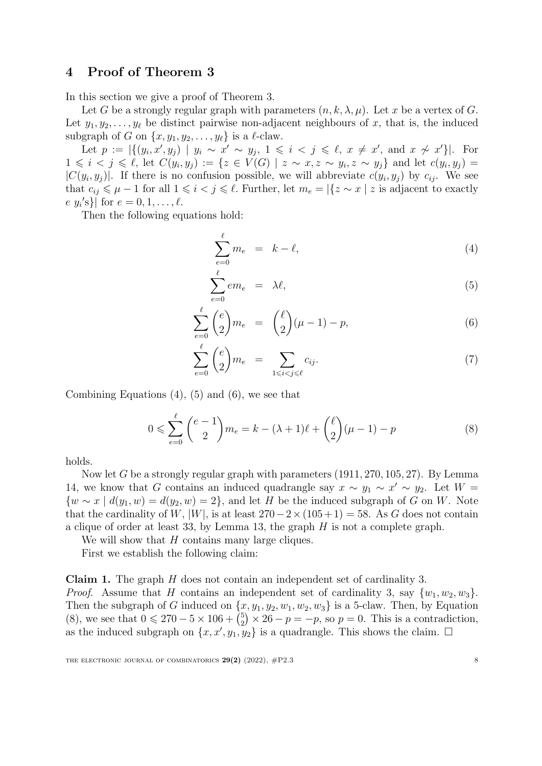# <span id="page-7-0"></span>4 Proof of Theorem [3](#page-1-5)

In this section we give a proof of Theorem [3.](#page-1-5)

Let *G* be a strongly regular graph with parameters  $(n, k, \lambda, \mu)$ . Let *x* be a vertex of *G*. Let  $y_1, y_2, \ldots, y_\ell$  be distinct pairwise non-adjacent neighbours of x, that is, the induced subgraph of *G* on  $\{x, y_1, y_2, \ldots, y_\ell\}$  is a  $\ell$ -claw.

Let  $p := |\{(y_i, x', y_j) \mid y_i \sim x' \sim y_j, 1 \leq i < j \leq \ell, x \neq x', \text{ and } x \not\sim x'\}|.$  For  $1 \leq i \leq j \leq \ell$ , let  $C(y_i, y_j) := \{ z \in V(G) \mid z \sim x, z \sim y_j, z \sim y_j \}$  and let  $c(y_i, y_j) =$  $|C(y_i, y_j)|$ . If there is no confusion possible, we will abbreviate  $c(y_i, y_j)$  by  $c_{ij}$ . We see that  $c_{ij} \leq \mu - 1$  for all  $1 \leq i < j \leq \ell$ . Further, let  $m_e = |\{z \sim x \mid z \text{ is adjacent to exactly } \}$  $\{e, y_i\}'s\}$  for  $e = 0, 1, \ldots, \ell$ .

Then the following equations hold:

<span id="page-7-1"></span>
$$
\sum_{e=0}^{\ell} m_e = k - \ell, \tag{4}
$$

$$
\sum_{e=0}^{\ell} em_e = \lambda \ell, \tag{5}
$$

$$
\sum_{e=0}^{\ell} \binom{e}{2} m_e = \binom{\ell}{2} (\mu - 1) - p,\tag{6}
$$

$$
\sum_{e=0}^{\ell} \binom{e}{2} m_e = \sum_{1 \le i < j \le \ell} c_{ij}.\tag{7}
$$

Combining Equations  $(4)$  $(4)$ ,  $(5)$  $(5)$  and  $(6)$  $(6)$ , we see that

<span id="page-7-2"></span>
$$
0 \leq \sum_{e=0}^{\ell} {e-1 \choose 2} m_e = k - (\lambda + 1)\ell + {2 \choose 2} (\mu - 1) - p
$$
 (8)

holds.

Now let *G* be a strongly regular graph with parameters (1911*,* 270*,* 105*,* 27). By Lemma [14,](#page-5-1) we know that *G* contains an induced quadrangle say  $x \sim y_1 \sim x' \sim y_2$ . Let  $W =$ *{w* ∼ *x | d*(*y*<sub>1</sub>*,w*) = *d*(*y*<sub>2</sub>*,w*) = 2*}*, and let *H* be the induced subgraph of *G* on *W*. Note that the cardinality of *W*, |*W*|, is at least  $270-2 \times (105+1) = 58$ . As *G* does not contain a clique of order at least 33, by Lemma [13](#page-4-2), the graph *H* is not a complete graph.

We will show that *H* contains many large cliques.

First we establish the following claim:

Claim 1. The graph *H* does not contain an independent set of cardinality 3. *Proof.* Assume that *H* contains an independent set of cardinality 3, say  $\{w_1, w_2, w_3\}$ . Then the subgraph of *G* induced on  $\{x, y_1, y_2, w_1, w_2, w_3\}$  is a 5-claw. Then, by Equation ([8](#page-7-2)), we see that  $0 \le 270 - 5 \times 106 + {5 \choose 2} \times 26 - p = -p$ , so  $p = 0$ . This is a contradiction, as the induced subgraph on  $\{x, x', y_1, y_2\}$  is a quadrangle. This shows the claim.  $\Box$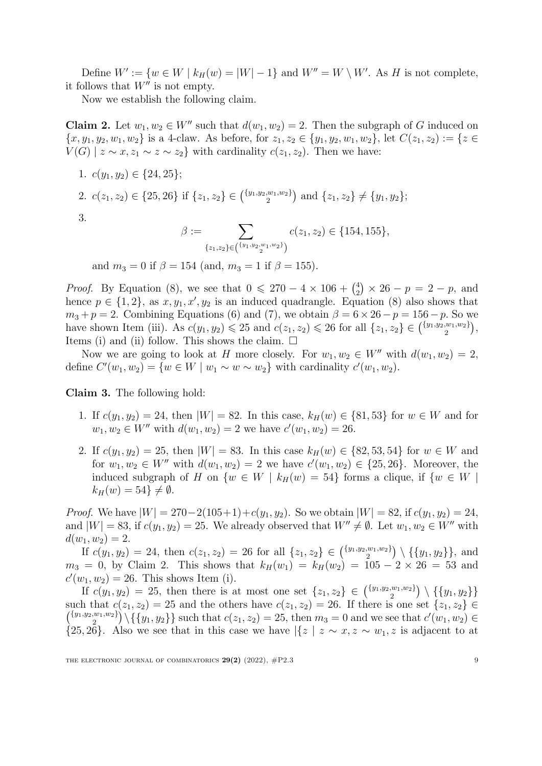Define  $W' := \{w \in W \mid k_H(w) = |W| - 1\}$  and  $W'' = W \setminus W'$ . As *H* is not complete, it follows that  $W''$  is not empty.

Now we establish the following claim.

**Claim 2.** Let  $w_1, w_2 \in W''$  such that  $d(w_1, w_2) = 2$ . Then the subgraph of *G* induced on  $\{x, y_1, y_2, w_1, w_2\}$  is a 4-claw. As before, for  $z_1, z_2 \in \{y_1, y_2, w_1, w_2\}$ , let  $C(z_1, z_2) := \{z \in$ *V*(*G*) | *z* ∼ *x*, *z*<sub>1</sub> ∼ *z* ∼ *z*<sub>2</sub>} with cardinality *c*(*z*<sub>1</sub>, *z*<sub>2</sub>). Then we have:

- 1.  $c(y_1, y_2) \in \{24, 25\};$
- 2.  $c(z_1, z_2) \in \{25, 26\}$  if  $\{z_1, z_2\} \in \binom{\{y_1, y_2, w_1, w_2\}}{2}$  and  $\{z_1, z_2\} \neq \{y_1, y_2\};$

3.

$$
\beta := \sum_{\{z_1, z_2\} \in \binom{\{y_1, y_2, w_1, w_2\}}{2}} c(z_1, z_2) \in \{154, 155\},\
$$

and  $m_3 = 0$  if  $\beta = 154$  (and,  $m_3 = 1$  if  $\beta = 155$ ).

*Proof.* By Equation ([8\)](#page-7-2), we see that  $0 \le 270 - 4 \times 106 + {4 \choose 2} \times 26 - p = 2 - p$ , and hence  $p \in \{1, 2\}$ , as  $x, y_1, x', y_2$  is an induced quadrangle. Equation [\(8](#page-7-2)) also shows that  $m_3 + p = 2$ . Combining Equations [\(6\)](#page-7-1) and ([7\)](#page-7-1), we obtain  $\beta = 6 \times 26 - p = 156 - p$ . So we have shown Item (iii). As  $c(y_1, y_2) \le 25$  and  $c(z_1, z_2) \le 26$  for all  $\{z_1, z_2\} \in {\binom{{\{y_1, y_2, w_1, w_2\}}}{2}}$ , Items (i) and (ii) follow. This shows the claim.  $\square$ 

Now we are going to look at *H* more closely. For  $w_1, w_2 \in W''$  with  $d(w_1, w_2) = 2$ , define  $C'(w_1, w_2) = \{w \in W \mid w_1 \sim w \sim w_2\}$  with cardinality  $c'(w_1, w_2)$ .

Claim 3. The following hold:

- 1. If  $c(y_1, y_2) = 24$ , then  $|W| = 82$ . In this case,  $k_H(w) \in \{81, 53\}$  for  $w \in W$  and for  $w_1, w_2 \in W''$  with  $d(w_1, w_2) = 2$  we have  $c'(w_1, w_2) = 26$ .
- 2. If  $c(y_1, y_2) = 25$ , then  $|W| = 83$ . In this case  $k_H(w) \in \{82, 53, 54\}$  for  $w \in W$  and for  $w_1, w_2 \in W''$  with  $d(w_1, w_2) = 2$  we have  $c'(w_1, w_2) \in \{25, 26\}$ . Moreover, the induced subgraph of *H* on  $\{w \in W \mid k_H(w) = 54\}$  forms a clique, if  $\{w \in W \mid k_H(w) = 54\}$  $k_H(w) = 54$   $\neq \emptyset$ .

*Proof.* We have  $|W| = 270 - 2(105+1) + c(y_1, y_2)$ . So we obtain  $|W| = 82$ , if  $c(y_1, y_2) = 24$ , and  $|W| = 83$ , if  $c(y_1, y_2) = 25$ . We already observed that  $W'' \neq \emptyset$ . Let  $w_1, w_2 \in W''$  with  $d(w_1, w_2) = 2.$ 

If  $c(y_1, y_2) = 24$ , then  $c(z_1, z_2) = 26$  for all  $\{z_1, z_2\} \in {\binom{\{y_1, y_2, w_1, w_2\}}{2}} \setminus {\{y_1, y_2\}},$  and  $m_3 = 0$ , by Claim 2. This shows that  $k_H(w_1) = k_H(w_2) = 105 - 2 \times 26 = 53$  and  $c'(w_1, w_2) = 26$ . This shows Item (i).

If  $c(y_1, y_2) = 25$ , then there is at most one set  $\{z_1, z_2\} \in {\binom{\{y_1, y_2, w_1, w_2\}}{2}} \setminus {\{\{y_1, y_2\}\}}$ such that  $c(z_1, z_2) = 25$  and the others have  $c(z_1, z_2) = 26$ . If there is one set  $\{z_1, z_2\} \in$  $\binom{\{y_1,y_2,w_1,w_2\}}{2} \setminus \{\{y_1,y_2\}\}\$  such that  $c(z_1,z_2) = 25$ , then  $m_3 = 0$  and we see that  $c'(w_1,w_2) \in$  $\{25, 26\}$ . Also we see that in this case we have  $\left|\{z \mid z \sim x, z \sim w_1, z \text{ is adjacent to at }\right.\}$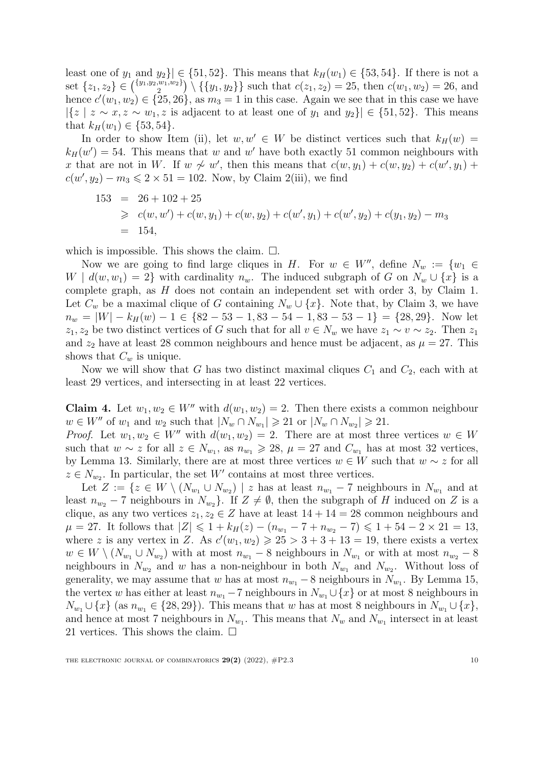least one of  $y_1$  and  $y_2$ } $\in \{51, 52\}$ . This means that  $k_H(w_1) \in \{53, 54\}$ . If there is not a set  $\{z_1, z_2\} \in {\binom{\{y_1, y_2, w_1, w_2\}}{2}} \setminus {\{\{y_1, y_2\}\}\}\$  such that  $c(z_1, z_2) = 25$ , then  $c(w_1, w_2) = 26$ , and hence  $c'(w_1, w_2) \in \{25, 26\}$ , as  $m_3 = 1$  in this case. Again we see that in this case we have  $|{z \mid z \sim x, z \sim w_1, z \text{ is adjacent to at least one of } y_1 \text{ and } y_2\}|$  ∈ {51*,* 52}. This means that  $k_H(w_1) \in \{53, 54\}.$ 

In order to show Item (ii), let  $w, w' \in W$  be distinct vertices such that  $k_H(w)$  $k_H(w') = 54$ . This means that *w* and *w*' have both exactly 51 common neighbours with *x* that are not in *W*. If  $w \nsim w'$ , then this means that  $c(w, y_1) + c(w, y_2) + c(w', y_1) + c(w', y_2)$  $c(w', y_2) - m_3 \leq 2 \times 51 = 102$ . Now, by Claim 2(iii), we find

$$
153 = 26 + 102 + 25
$$
  
\n
$$
\geq c(w, w') + c(w, y_1) + c(w, y_2) + c(w', y_1) + c(w', y_2) + c(y_1, y_2) - m_3
$$
  
\n= 154,

which is impossible. This shows the claim.  $\square$ .

Now we are going to find large cliques in *H*. For  $w \in W''$ , define  $N_w := \{w_1 \in$ *W* |  $d(w, w_1) = 2$ } with cardinality  $n_w$ . The induced subgraph of *G* on  $N_w \cup \{x\}$  is a complete graph, as *H* does not contain an independent set with order 3, by Claim 1. Let  $C_w$  be a maximal clique of *G* containing  $N_w \cup \{x\}$ . Note that, by Claim 3, we have  $n_w = |W| - k_H(w) - 1 \in \{82 - 53 - 1, 83 - 54 - 1, 83 - 53 - 1\} = \{28, 29\}.$  Now let *z*<sub>1</sub>*, z*<sub>2</sub> be two distinct vertices of *G* such that for all  $v \in N_w$  we have  $z_1 \sim v \sim z_2$ . Then  $z_1$ and  $z_2$  have at least 28 common neighbours and hence must be adjacent, as  $\mu = 27$ . This shows that  $C_w$  is unique.

Now we will show that *G* has two distinct maximal cliques  $C_1$  and  $C_2$ , each with at least 29 vertices, and intersecting in at least 22 vertices.

Claim 4. Let  $w_1, w_2 \in W''$  with  $d(w_1, w_2) = 2$ . Then there exists a common neighbour *w* ∈ *W*<sup>*''*</sup> of *w*<sub>1</sub> and *w*<sub>2</sub> such that  $|N_w \cap N_{w_1}| \ge 21$  or  $|N_w \cap N_{w_2}| \ge 21$ .

*Proof.* Let  $w_1, w_2 \in W''$  with  $d(w_1, w_2) = 2$ . There are at most three vertices  $w \in W$ such that  $w \sim z$  for all  $z \in N_{w_1}$ , as  $n_{w_1} \geq 28$ ,  $\mu = 27$  and  $C_{w_1}$  has at most 32 vertices, by Lemma [13.](#page-4-2) Similarly, there are at most three vertices  $w \in W$  such that  $w \sim z$  for all  $z \in N_{w_2}$ . In particular, the set *W'* contains at most three vertices.

Let  $Z := \{z \in W \setminus (N_{w_1} \cup N_{w_2}) \mid z \text{ has at least } n_{w_1} - 7 \text{ neighbours in } N_{w_1} \text{ and at } 1 \}$ least  $n_{w_2} - 7$  neighbours in  $N_{w_2}$ . If  $Z \neq \emptyset$ , then the subgraph of *H* induced on *Z* is a clique, as any two vertices  $z_1, z_2 \in Z$  have at least  $14 + 14 = 28$  common neighbours and  $\mu = 27$ . It follows that  $|Z| \leq 1 + k_H(z) - (n_{w_1} - 7 + n_{w_2} - 7) \leq 1 + 54 - 2 \times 21 = 13$ , where *z* is any vertex in *Z*. As  $c'(w_1, w_2) \ge 25 > 3 + 3 + 13 = 19$ , there exists a vertex  $w \in W \setminus (N_{w_1} \cup N_{w_2})$  with at most  $n_{w_1} - 8$  neighbours in  $N_{w_1}$  or with at most  $n_{w_2} - 8$ neighbours in  $N_{w_2}$  and *w* has a non-neighbour in both  $N_{w_1}$  and  $N_{w_2}$ . Without loss of generality, we may assume that *w* has at most  $n_{w_1} - 8$  neighbours in  $N_{w_1}$ . By Lemma [15](#page-5-2), the vertex *w* has either at least  $n_{w_1} - 7$  neighbours in  $N_{w_1} \cup \{x\}$  or at most 8 neighbours in  $N_{w_1} \cup \{x\}$  (as  $n_{w_1} \in \{28, 29\}$ ). This means that *w* has at most 8 neighbours in  $N_{w_1} \cup \{x\}$ , and hence at most 7 neighbours in  $N_{w_1}$ . This means that  $N_w$  and  $N_{w_1}$  intersect in at least 21 vertices. This shows the claim.  $\square$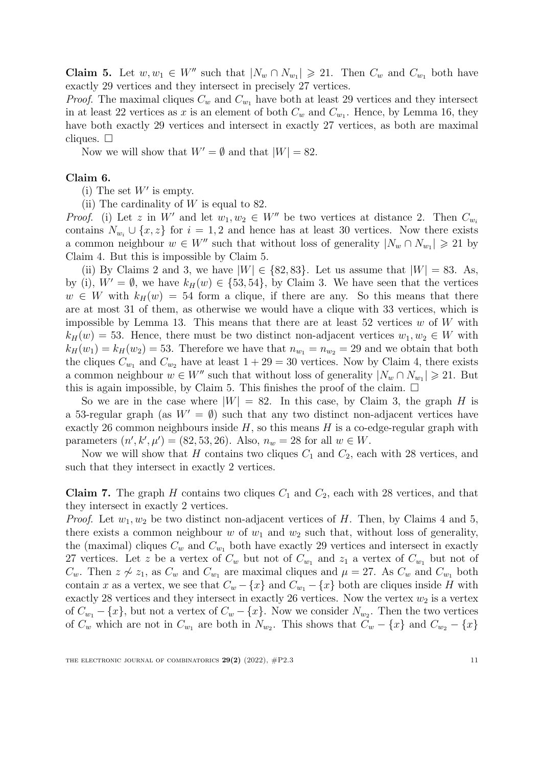**Claim 5.** Let  $w, w_1 \in W''$  such that  $|N_w \cap N_{w_1}| \geq 21$ . Then  $C_w$  and  $C_{w_1}$  both have exactly 29 vertices and they intersect in precisely 27 vertices.

*Proof.* The maximal cliques  $C_w$  and  $C_{w_1}$  have both at least 29 vertices and they intersect in at least 22 vertices as x is an element of both  $C_w$  and  $C_{w_1}$ . Hence, by Lemma [16](#page-5-3), they have both exactly 29 vertices and intersect in exactly 27 vertices, as both are maximal cliques.  $\square$ 

Now we will show that  $W' = \emptyset$  and that  $|W| = 82$ .

#### Claim 6.

(i) The set *W*′ is empty.

(ii) The cardinality of *W* is equal to 82.

*Proof.* (i) Let *z* in *W'* and let  $w_1, w_2 \in W''$  be two vertices at distance 2. Then  $C_{w_i}$ contains  $N_{w_i} \cup \{x, z\}$  for  $i = 1, 2$  and hence has at least 30 vertices. Now there exists a common neighbour  $w \in W''$  such that without loss of generality  $|N_w \cap N_{w_1}| \geq 21$  by Claim 4. But this is impossible by Claim 5.

(ii) By Claims 2 and 3, we have  $|W| \in \{82, 83\}$ . Let us assume that  $|W| = 83$ . As, by (i),  $W' = \emptyset$ , we have  $k_H(w) \in \{53, 54\}$ , by Claim 3. We have seen that the vertices  $w \in W$  with  $k_H(w) = 54$  form a clique, if there are any. So this means that there are at most 31 of them, as otherwise we would have a clique with 33 vertices, which is impossible by Lemma [13](#page-4-2). This means that there are at least 52 vertices *w* of *W* with  $k_H(w) = 53$ . Hence, there must be two distinct non-adjacent vertices  $w_1, w_2 \in W$  with  $k_H(w_1) = k_H(w_2) = 53$ . Therefore we have that  $n_{w_1} = n_{w_2} = 29$  and we obtain that both the cliques  $C_{w_1}$  and  $C_{w_2}$  have at least  $1 + 29 = 30$  vertices. Now by Claim 4, there exists a common neighbour  $w \in W''$  such that without loss of generality  $|N_w \cap N_{w_1}| \geq 21$ . But this is again impossible, by Claim 5. This finishes the proof of the claim.  $\Box$ 

So we are in the case where  $|W| = 82$ . In this case, by Claim 3, the graph *H* is a 53-regular graph (as  $W' = \emptyset$ ) such that any two distinct non-adjacent vertices have exactly 26 common neighbours inside *H*, so this means *H* is a co-edge-regular graph with parameters  $(n', k', \mu') = (82, 53, 26)$ . Also,  $n_w = 28$  for all  $w \in W$ .

Now we will show that *H* contains two cliques  $C_1$  and  $C_2$ , each with 28 vertices, and such that they intersect in exactly 2 vertices.

**Claim 7.** The graph *H* contains two cliques  $C_1$  and  $C_2$ , each with 28 vertices, and that they intersect in exactly 2 vertices.

*Proof.* Let  $w_1, w_2$  be two distinct non-adjacent vertices of *H*. Then, by Claims 4 and 5, there exists a common neighbour *w* of  $w_1$  and  $w_2$  such that, without loss of generality, the (maximal) cliques  $C_w$  and  $C_{w_1}$  both have exactly 29 vertices and intersect in exactly 27 vertices. Let *z* be a vertex of  $C_w$  but not of  $C_{w_1}$  and  $z_1$  a vertex of  $C_{w_1}$  but not of *C*<sup>w</sup>. Then *z* ≁ *z*<sub>1</sub>, as *C*<sup>w</sup> and *C*<sup>w<sub>1</sub></sub> are maximal cliques and  $\mu = 27$ . As  $C_w$  and  $C_{w_1}$  both</sup> contain *x* as a vertex, we see that  $C_w - \{x\}$  and  $C_{w_1} - \{x\}$  both are cliques inside *H* with exactly 28 vertices and they intersect in exactly 26 vertices. Now the vertex  $w_2$  is a vertex of  $C_{w_1} - \{x\}$ , but not a vertex of  $C_w - \{x\}$ . Now we consider  $N_{w_2}$ . Then the two vertices of  $C_w$  which are not in  $C_{w_1}$  are both in  $N_{w_2}$ . This shows that  $C_w - \{x\}$  and  $C_{w_2} - \{x\}$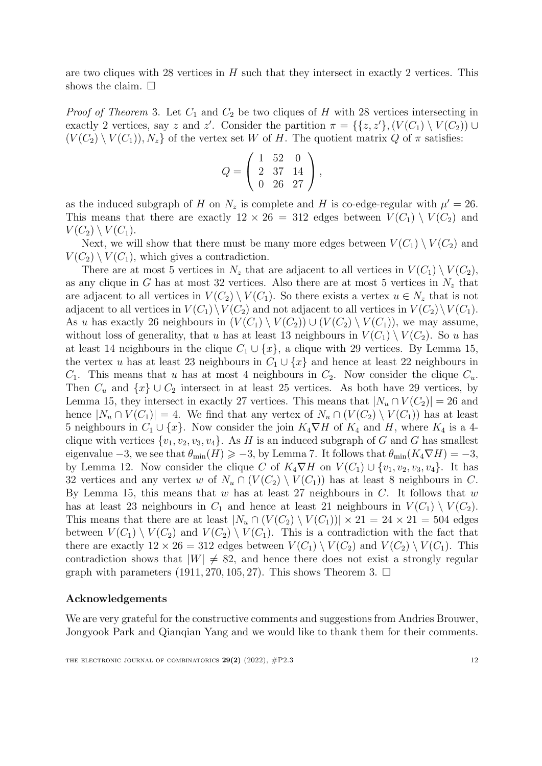are two cliques with 28 vertices in *H* such that they intersect in exactly 2 vertices. This shows the claim.  $\square$ 

*Proof of Theorem* [3](#page-1-5). Let *C*<sup>1</sup> and *C*<sup>2</sup> be two cliques of *H* with 28 vertices intersecting in exactly 2 vertices, say *z* and *z'*. Consider the partition  $\pi = \{\{z, z'\}, (V(C_1) \setminus V(C_2)) \cup (Z(C_1) \setminus V(C_1))\}$  $(V(C_2) \setminus V(C_1)$ ,  $N_z$  of the vertex set *W* of *H*. The quotient matrix *Q* of  $\pi$  satisfies:

$$
Q = \left(\begin{array}{rrr} 1 & 52 & 0 \\ 2 & 37 & 14 \\ 0 & 26 & 27 \end{array}\right),
$$

as the induced subgraph of *H* on  $N_z$  is complete and *H* is co-edge-regular with  $\mu' = 26$ . This means that there are exactly  $12 \times 26 = 312$  edges between  $V(C_1) \setminus V(C_2)$  and  $V(C_2) \setminus V(C_1)$ .

Next, we will show that there must be many more edges between  $V(C_1) \setminus V(C_2)$  and  $V(C_2) \setminus V(C_1)$ , which gives a contradiction.

There are at most 5 vertices in  $N_z$  that are adjacent to all vertices in  $V(C_1) \setminus V(C_2)$ , as any clique in *G* has at most 32 vertices. Also there are at most 5 vertices in  $N_z$  that are adjacent to all vertices in  $V(C_2) \setminus V(C_1)$ . So there exists a vertex  $u \in N_z$  that is not adjacent to all vertices in  $V(C_1) \setminus V(C_2)$  and not adjacent to all vertices in  $V(C_2) \setminus V(C_1)$ . As *u* has exactly 26 neighbours in  $(V(C_1) \setminus V(C_2)) \cup (V(C_2) \setminus V(C_1))$ , we may assume, without loss of generality, that *u* has at least 13 neighbours in  $V(C_1) \setminus V(C_2)$ . So *u* has at least 14 neighbours in the clique  $C_1 \cup \{x\}$ , a clique with 29 vertices. By Lemma [15](#page-5-2), the vertex *u* has at least 23 neighbours in  $C_1 \cup \{x\}$  and hence at least 22 neighbours in  $C_1$ . This means that *u* has at most 4 neighbours in  $C_2$ . Now consider the clique  $C_u$ . Then  $C_u$  and  $\{x\} \cup C_2$  intersect in at least 25 vertices. As both have 29 vertices, by Lemma [15](#page-5-2), they intersect in exactly 27 vertices. This means that  $|N_u \cap V(C_2)| = 26$  and hence  $|N_u \cap V(C_1)| = 4$ . We find that any vertex of  $N_u \cap (V(C_2) \setminus V(C_1))$  has at least 5 neighbours in  $C_1 \cup \{x\}$ . Now consider the join  $K_4 \nabla H$  of  $K_4$  and  $H$ , where  $K_4$  is a 4clique with vertices  $\{v_1, v_2, v_3, v_4\}$ . As *H* is an induced subgraph of *G* and *G* has smallest eigenvalue  $-3$ , we see that  $\theta_{\min}(H) \geqslant -3$ , by Lemma [7.](#page-3-3) It follows that  $\theta_{\min}(K_4 \nabla H) = -3$ , by Lemma [12](#page-4-3). Now consider the clique *C* of  $K_4 \nabla H$  on  $V(C_1) \cup \{v_1, v_2, v_3, v_4\}$ . It has 32 vertices and any vertex *w* of  $N_u \cap (V(C_2) \setminus V(C_1))$  has at least 8 neighbours in *C*. By Lemma [15](#page-5-2), this means that *w* has at least 27 neighbours in *C*. It follows that *w* has at least 23 neighbours in  $C_1$  and hence at least 21 neighbours in  $V(C_1) \setminus V(C_2)$ . This means that there are at least  $|N_u \cap (V(C_2) \setminus V(C_1))| \times 21 = 24 \times 21 = 504$  edges between  $V(C_1) \setminus V(C_2)$  and  $V(C_2) \setminus V(C_1)$ . This is a contradiction with the fact that there are exactly  $12 \times 26 = 312$  edges between  $V(C_1) \setminus V(C_2)$  and  $V(C_2) \setminus V(C_1)$ . This contradiction shows that  $|W| \neq 82$ , and hence there does not exist a strongly regular graph with parameters  $(1911, 270, 105, 27)$ . This shows Theorem [3.](#page-1-5)  $\Box$ 

#### Acknowledgements

We are very grateful for the constructive comments and suggestions from Andries Brouwer, Jongyook Park and Qianqian Yang and we would like to thank them for their comments.